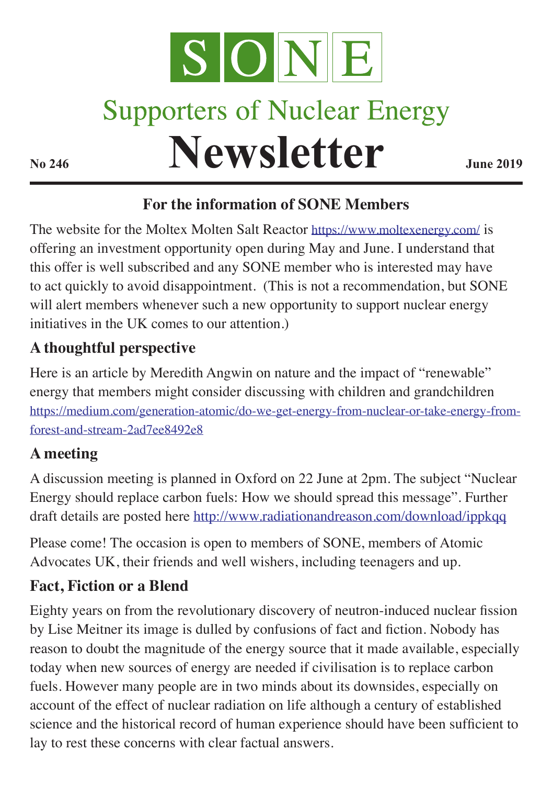

# **Supporters of Nuclear Energy**

**Newsletter June 2019** 

# **For the information of SONE Members**

The website for the Moltex Molten Salt Reactor <https://www.moltexenergy.com/> is offering an investment opportunity open during May and June. I understand that this offer is well subscribed and any SONE member who is interested may have to act quickly to avoid disappointment. (This is not a recommendation, but SONE will alert members whenever such a new opportunity to support nuclear energy initiatives in the UK comes to our attention.)

# **A thoughtful perspective**

Here is an article by Meredith Angwin on nature and the impact of "renewable" energy that members might consider discussing with children and grandchildren [https://medium.com/generation-atomic/do-we-get-energy-from-nuclear-or-take-energy-from](https://medium.com/generation-atomic/do-we-get-energy-from-nuclear-or-take-energy-from-forest-and-stream-2ad7ee8492e8)[forest-and-stream-2ad7ee8492e8](https://medium.com/generation-atomic/do-we-get-energy-from-nuclear-or-take-energy-from-forest-and-stream-2ad7ee8492e8)

### **A meeting**

A discussion meeting is planned in Oxford on 22 June at 2pm. The subject "Nuclear Energy should replace carbon fuels: How we should spread this message". Further draft details are posted here http://www.radiationandreason.com/download/ippkqq

Please come! The occasion is open to members of SONE, members of Atomic Advocates UK, their friends and well wishers, including teenagers and up.

### **Fact, Fiction or a Blend**

Eighty years on from the revolutionary discovery of neutron-induced nuclear fission by Lise Meitner its image is dulled by confusions of fact and fiction. Nobody has reason to doubt the magnitude of the energy source that it made available, especially today when new sources of energy are needed if civilisation is to replace carbon fuels. However many people are in two minds about its downsides, especially on account of the effect of nuclear radiation on life although a century of established science and the historical record of human experience should have been sufficient to lay to rest these concerns with clear factual answers.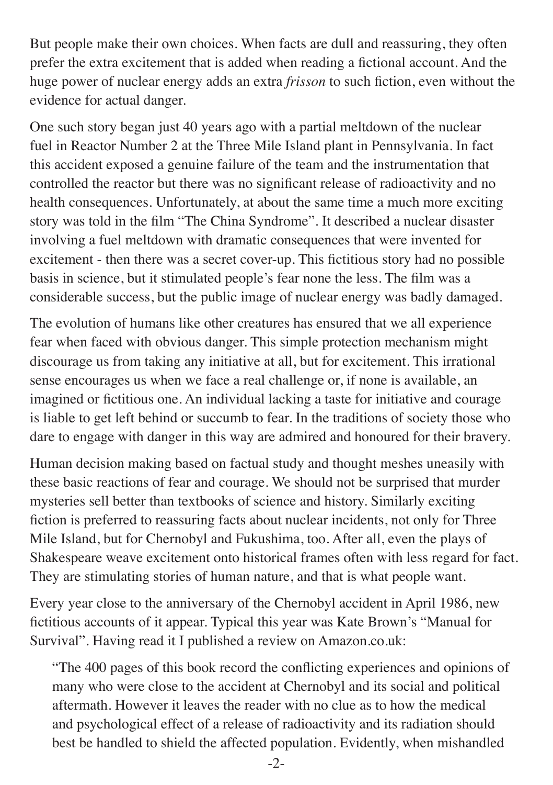But people make their own choices. When facts are dull and reassuring, they often prefer the extra excitement that is added when reading a fictional account. And the huge power of nuclear energy adds an extra *frisson* to such fiction, even without the evidence for actual danger.

One such story began just 40 years ago with a partial meltdown of the nuclear fuel in Reactor Number 2 at the Three Mile Island plant in Pennsylvania. In fact this accident exposed a genuine failure of the team and the instrumentation that controlled the reactor but there was no significant release of radioactivity and no health consequences. Unfortunately, at about the same time a much more exciting story was told in the film "The China Syndrome". It described a nuclear disaster involving a fuel meltdown with dramatic consequences that were invented for excitement - then there was a secret cover-up. This fictitious story had no possible basis in science, but it stimulated people's fear none the less. The film was a considerable success, but the public image of nuclear energy was badly damaged.

The evolution of humans like other creatures has ensured that we all experience fear when faced with obvious danger. This simple protection mechanism might discourage us from taking any initiative at all, but for excitement. This irrational sense encourages us when we face a real challenge or, if none is available, an imagined or fictitious one. An individual lacking a taste for initiative and courage is liable to get left behind or succumb to fear. In the traditions of society those who dare to engage with danger in this way are admired and honoured for their bravery.

Human decision making based on factual study and thought meshes uneasily with these basic reactions of fear and courage. We should not be surprised that murder mysteries sell better than textbooks of science and history. Similarly exciting fiction is preferred to reassuring facts about nuclear incidents, not only for Three Mile Island, but for Chernobyl and Fukushima, too. After all, even the plays of Shakespeare weave excitement onto historical frames often with less regard for fact. They are stimulating stories of human nature, and that is what people want.

Every year close to the anniversary of the Chernobyl accident in April 1986, new fictitious accounts of it appear. Typical this year was Kate Brown's "Manual for Survival". Having read it I published a review on Amazon.co.uk:

"The 400 pages of this book record the conflicting experiences and opinions of many who were close to the accident at Chernobyl and its social and political aftermath. However it leaves the reader with no clue as to how the medical and psychological effect of a release of radioactivity and its radiation should best be handled to shield the affected population. Evidently, when mishandled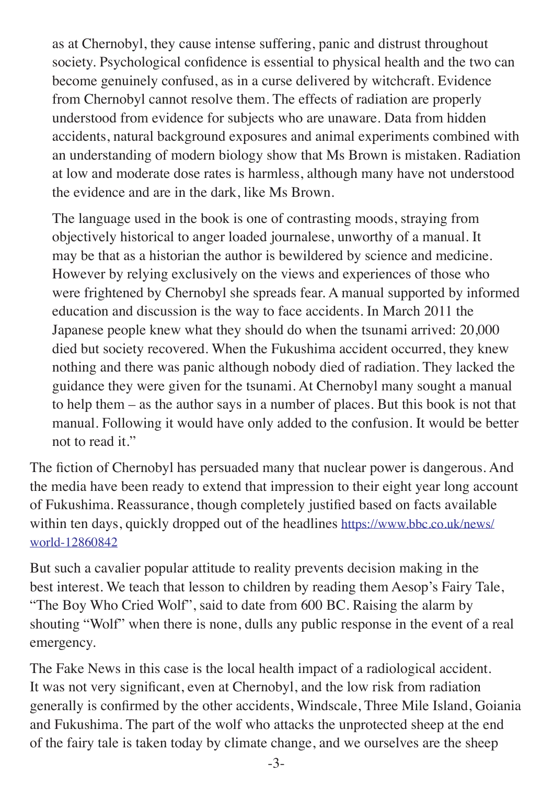as at Chernobyl, they cause intense suffering, panic and distrust throughout society. Psychological confidence is essential to physical health and the two can become genuinely confused, as in a curse delivered by witchcraft. Evidence from Chernobyl cannot resolve them. The effects of radiation are properly understood from evidence for subjects who are unaware. Data from hidden accidents, natural background exposures and animal experiments combined with an understanding of modern biology show that Ms Brown is mistaken. Radiation at low and moderate dose rates is harmless, although many have not understood the evidence and are in the dark, like Ms Brown.

The language used in the book is one of contrasting moods, straying from objectively historical to anger loaded journalese, unworthy of a manual. It may be that as a historian the author is bewildered by science and medicine. However by relying exclusively on the views and experiences of those who were frightened by Chernobyl she spreads fear. A manual supported by informed education and discussion is the way to face accidents. In March 2011 the Japanese people knew what they should do when the tsunami arrived: 20,000 died but society recovered. When the Fukushima accident occurred, they knew nothing and there was panic although nobody died of radiation. They lacked the guidance they were given for the tsunami. At Chernobyl many sought a manual to help them – as the author says in a number of places. But this book is not that manual. Following it would have only added to the confusion. It would be better not to read it."

The fiction of Chernobyl has persuaded many that nuclear power is dangerous. And the media have been ready to extend that impression to their eight year long account of Fukushima. Reassurance, though completely justified based on facts available within ten days, quickly dropped out of the headlines [https://www.bbc.co.uk/news/](https://www.bbc.co.uk/news/world-12860842) [world-12860842](https://www.bbc.co.uk/news/world-12860842)

But such a cavalier popular attitude to reality prevents decision making in the best interest. We teach that lesson to children by reading them Aesop's Fairy Tale, "The Boy Who Cried Wolf", said to date from 600 BC. Raising the alarm by shouting "Wolf" when there is none, dulls any public response in the event of a real emergency.

The Fake News in this case is the local health impact of a radiological accident. It was not very significant, even at Chernobyl, and the low risk from radiation generally is confirmed by the other accidents, Windscale, Three Mile Island, Goiania and Fukushima. The part of the wolf who attacks the unprotected sheep at the end of the fairy tale is taken today by climate change, and we ourselves are the sheep